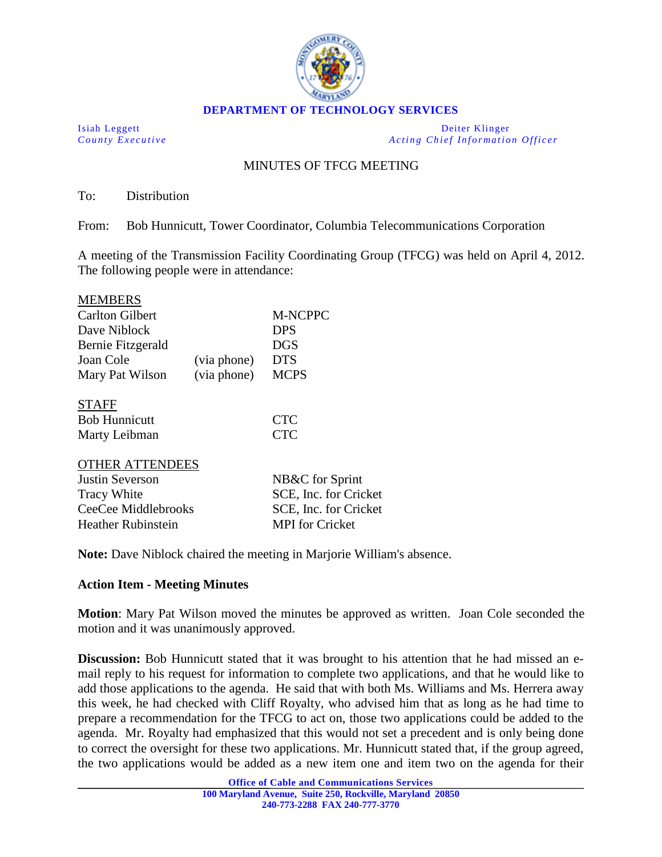

**DEPARTMENT OF TECHNOLOGY SERVICES**

Isiah Leggett Deiter Klinger *County Executive Acting Chief Information Officer*

## MINUTES OF TFCG MEETING

To: Distribution

 $\overline{\mathbf{m}}$ 

From: Bob Hunnicutt, Tower Coordinator, Columbia Telecommunications Corporation

A meeting of the Transmission Facility Coordinating Group (TFCG) was held on April 4, 2012. The following people were in attendance:

| MEMBERS                   |             |                        |
|---------------------------|-------------|------------------------|
| <b>Carlton Gilbert</b>    |             | <b>M-NCPPC</b>         |
| Dave Niblock              |             | <b>DPS</b>             |
| Bernie Fitzgerald         |             | <b>DGS</b>             |
| Joan Cole                 | (via phone) | <b>DTS</b>             |
| Mary Pat Wilson           | (via phone) | <b>MCPS</b>            |
| <b>STAFF</b>              |             |                        |
| <b>Bob Hunnicutt</b>      |             | <b>CTC</b>             |
| Marty Leibman             |             | <b>CTC</b>             |
| <b>OTHER ATTENDEES</b>    |             |                        |
| Justin Severson           |             | NB&C for Sprint        |
| <b>Tracy White</b>        |             | SCE, Inc. for Cricket  |
| CeeCee Middlebrooks       |             | SCE, Inc. for Cricket  |
| <b>Heather Rubinstein</b> |             | <b>MPI</b> for Cricket |
|                           |             |                        |

**Note:** Dave Niblock chaired the meeting in Marjorie William's absence.

## **Action Item - Meeting Minutes**

**Motion**: Mary Pat Wilson moved the minutes be approved as written. Joan Cole seconded the motion and it was unanimously approved.

**Discussion:** Bob Hunnicutt stated that it was brought to his attention that he had missed an email reply to his request for information to complete two applications, and that he would like to add those applications to the agenda. He said that with both Ms. Williams and Ms. Herrera away this week, he had checked with Cliff Royalty, who advised him that as long as he had time to prepare a recommendation for the TFCG to act on, those two applications could be added to the agenda. Mr. Royalty had emphasized that this would not set a precedent and is only being done to correct the oversight for these two applications. Mr. Hunnicutt stated that, if the group agreed, the two applications would be added as a new item one and item two on the agenda for their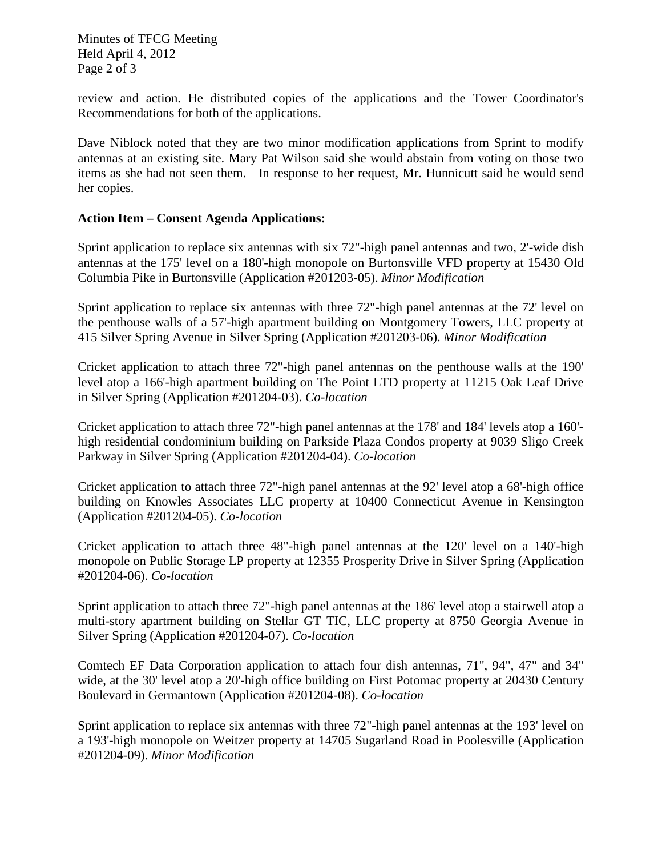Minutes of TFCG Meeting Held April 4, 2012 Page 2 of 3

review and action. He distributed copies of the applications and the Tower Coordinator's Recommendations for both of the applications.

Dave Niblock noted that they are two minor modification applications from Sprint to modify antennas at an existing site. Mary Pat Wilson said she would abstain from voting on those two items as she had not seen them. In response to her request, Mr. Hunnicutt said he would send her copies.

## **Action Item – Consent Agenda Applications:**

Sprint application to replace six antennas with six 72"-high panel antennas and two, 2'-wide dish antennas at the 175' level on a 180'-high monopole on Burtonsville VFD property at 15430 Old Columbia Pike in Burtonsville (Application #201203-05). *Minor Modification*

Sprint application to replace six antennas with three 72"-high panel antennas at the 72' level on the penthouse walls of a 57'-high apartment building on Montgomery Towers, LLC property at 415 Silver Spring Avenue in Silver Spring (Application #201203-06). *Minor Modification*

Cricket application to attach three 72"-high panel antennas on the penthouse walls at the 190' level atop a 166'-high apartment building on The Point LTD property at 11215 Oak Leaf Drive in Silver Spring (Application #201204-03). *Co-location*

Cricket application to attach three 72"-high panel antennas at the 178' and 184' levels atop a 160' high residential condominium building on Parkside Plaza Condos property at 9039 Sligo Creek Parkway in Silver Spring (Application #201204-04). *Co-location*

Cricket application to attach three 72"-high panel antennas at the 92' level atop a 68'-high office building on Knowles Associates LLC property at 10400 Connecticut Avenue in Kensington (Application #201204-05). *Co-location*

Cricket application to attach three 48"-high panel antennas at the 120' level on a 140'-high monopole on Public Storage LP property at 12355 Prosperity Drive in Silver Spring (Application #201204-06). *Co-location*

Sprint application to attach three 72"-high panel antennas at the 186' level atop a stairwell atop a multi-story apartment building on Stellar GT TIC, LLC property at 8750 Georgia Avenue in Silver Spring (Application #201204-07). *Co-location*

Comtech EF Data Corporation application to attach four dish antennas, 71", 94", 47" and 34" wide, at the 30' level atop a 20'-high office building on First Potomac property at 20430 Century Boulevard in Germantown (Application #201204-08). *Co-location*

Sprint application to replace six antennas with three 72"-high panel antennas at the 193' level on a 193'-high monopole on Weitzer property at 14705 Sugarland Road in Poolesville (Application #201204-09). *Minor Modification*